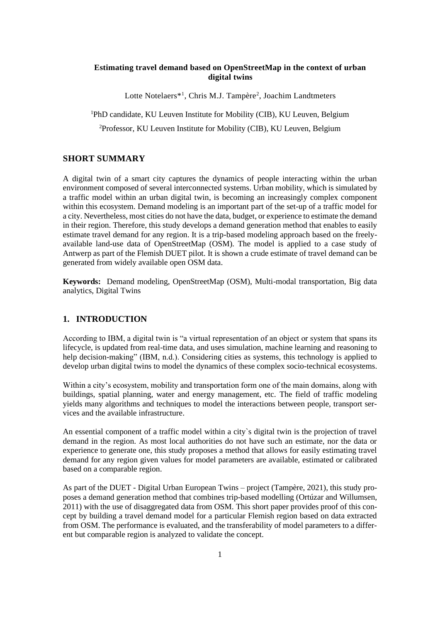## **Estimating travel demand based on OpenStreetMap in the context of urban digital twins**

Lotte Notelaers<sup>\*1</sup>, Chris M.J. Tampère<sup>2</sup>, Joachim Landtmeters

<sup>1</sup>PhD candidate, KU Leuven Institute for Mobility (CIB), KU Leuven, Belgium

<sup>2</sup>Professor, KU Leuven Institute for Mobility (CIB), KU Leuven, Belgium

# **SHORT SUMMARY**

A digital twin of a smart city captures the dynamics of people interacting within the urban environment composed of several interconnected systems. Urban mobility, which is simulated by a traffic model within an urban digital twin, is becoming an increasingly complex component within this ecosystem. Demand modeling is an important part of the set-up of a traffic model for a city. Nevertheless, most cities do not have the data, budget, or experience to estimate the demand in their region. Therefore, this study develops a demand generation method that enables to easily estimate travel demand for any region. It is a trip-based modeling approach based on the freelyavailable land-use data of OpenStreetMap (OSM). The model is applied to a case study of Antwerp as part of the Flemish DUET pilot. It is shown a crude estimate of travel demand can be generated from widely available open OSM data.

**Keywords:** Demand modeling, OpenStreetMap (OSM), Multi-modal transportation, Big data analytics, Digital Twins

# **1. INTRODUCTION**

According to IBM, a digital twin is "a virtual representation of an object or system that spans its lifecycle, is updated from real-time data, and uses simulation, machine learning and reasoning to help decision-making" (IBM, n.d.). Considering cities as systems, this technology is applied to develop urban digital twins to model the dynamics of these complex socio-technical ecosystems.

Within a city's ecosystem, mobility and transportation form one of the main domains, along with buildings, spatial planning, water and energy management, etc. The field of traffic modeling yields many algorithms and techniques to model the interactions between people, transport services and the available infrastructure.

An essential component of a traffic model within a city`s digital twin is the projection of travel demand in the region. As most local authorities do not have such an estimate, nor the data or experience to generate one, this study proposes a method that allows for easily estimating travel demand for any region given values for model parameters are available, estimated or calibrated based on a comparable region.

As part of the DUET - Digital Urban European Twins – project (Tampère, 2021), this study proposes a demand generation method that combines trip-based modelling (Ortúzar and Willumsen, 2011) with the use of disaggregated data from OSM. This short paper provides proof of this concept by building a travel demand model for a particular Flemish region based on data extracted from OSM. The performance is evaluated, and the transferability of model parameters to a different but comparable region is analyzed to validate the concept.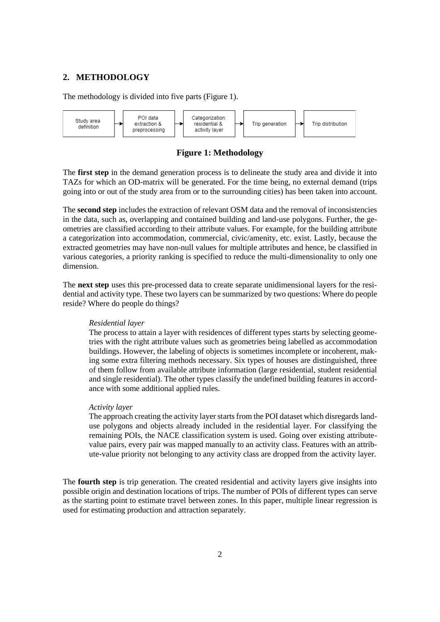# **2. METHODOLOGY**

The methodology is divided into five parts (Figure 1).



**Figure 1: Methodology**

The **first step** in the demand generation process is to delineate the study area and divide it into TAZs for which an OD-matrix will be generated. For the time being, no external demand (trips going into or out of the study area from or to the surrounding cities) has been taken into account.

The **second step** includes the extraction of relevant OSM data and the removal of inconsistencies in the data, such as, overlapping and contained building and land-use polygons. Further, the geometries are classified according to their attribute values. For example, for the building attribute a categorization into accommodation, commercial, civic/amenity, etc. exist. Lastly, because the extracted geometries may have non-null values for multiple attributes and hence, be classified in various categories, a priority ranking is specified to reduce the multi-dimensionality to only one dimension.

The **next step** uses this pre-processed data to create separate unidimensional layers for the residential and activity type. These two layers can be summarized by two questions: Where do people reside? Where do people do things?

#### *Residential layer*

The process to attain a layer with residences of different types starts by selecting geometries with the right attribute values such as geometries being labelled as accommodation buildings. However, the labeling of objects is sometimes incomplete or incoherent, making some extra filtering methods necessary. Six types of houses are distinguished, three of them follow from available attribute information (large residential, student residential and single residential). The other types classify the undefined building features in accordance with some additional applied rules.

#### *Activity layer*

The approach creating the activity layer starts from the POI dataset which disregards landuse polygons and objects already included in the residential layer. For classifying the remaining POIs, the NACE classification system is used. Going over existing attributevalue pairs, every pair was mapped manually to an activity class. Features with an attribute-value priority not belonging to any activity class are dropped from the activity layer.

The **fourth step** is trip generation. The created residential and activity layers give insights into possible origin and destination locations of trips. The number of POIs of different types can serve as the starting point to estimate travel between zones. In this paper, multiple linear regression is used for estimating production and attraction separately.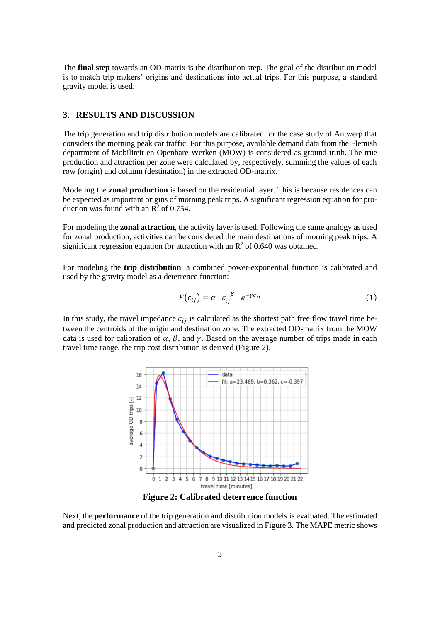The **final step** towards an OD-matrix is the distribution step. The goal of the distribution model is to match trip makers' origins and destinations into actual trips. For this purpose, a standard gravity model is used.

## **3. RESULTS AND DISCUSSION**

The trip generation and trip distribution models are calibrated for the case study of Antwerp that considers the morning peak car traffic. For this purpose, available demand data from the Flemish department of Mobiliteit en Openbare Werken (MOW) is considered as ground-truth. The true production and attraction per zone were calculated by, respectively, summing the values of each row (origin) and column (destination) in the extracted OD-matrix.

Modeling the **zonal production** is based on the residential layer. This is because residences can be expected as important origins of morning peak trips. A significant regression equation for production was found with an  $\mathbb{R}^2$  of 0.754.

For modeling the **zonal attraction**, the activity layer is used. Following the same analogy as used for zonal production, activities can be considered the main destinations of morning peak trips. A significant regression equation for attraction with an  $\mathbb{R}^2$  of 0.640 was obtained.

For modeling the **trip distribution**, a combined power-exponential function is calibrated and used by the gravity model as a deterrence function:

$$
F(c_{ij}) = \alpha \cdot c_{ij}^{-\beta} \cdot e^{-\gamma c_{ij}}
$$
 (1)

In this study, the travel impedance  $c_{ij}$  is calculated as the shortest path free flow travel time between the centroids of the origin and destination zone. The extracted OD-matrix from the MOW data is used for calibration of  $\alpha$ ,  $\beta$ , and  $\gamma$ . Based on the average number of trips made in each travel time range, the trip cost distribution is derived (Figure 2).



**Figure 2: Calibrated deterrence function**

Next, the **performance** of the trip generation and distribution models is evaluated. The estimated and predicted zonal production and attraction are visualized in Figure 3. The MAPE metric shows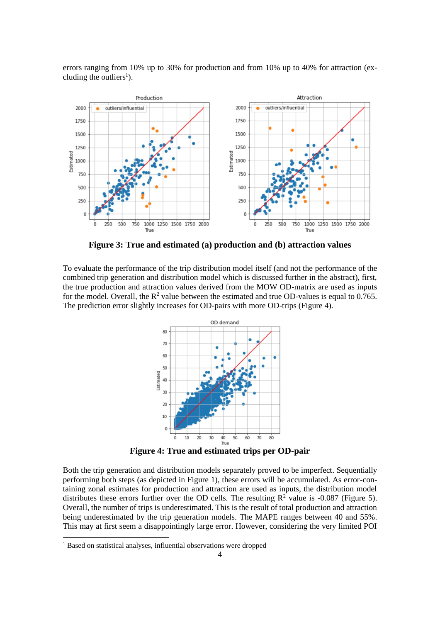errors ranging from 10% up to 30% for production and from 10% up to 40% for attraction (excluding the outliers<sup>1</sup>).



**Figure 3: True and estimated (a) production and (b) attraction values**

To evaluate the performance of the trip distribution model itself (and not the performance of the combined trip generation and distribution model which is discussed further in the abstract), first, the true production and attraction values derived from the MOW OD-matrix are used as inputs for the model. Overall, the  $R^2$  value between the estimated and true OD-values is equal to 0.765. The prediction error slightly increases for OD-pairs with more OD-trips (Figure 4).



**Figure 4: True and estimated trips per OD-pair**

Both the trip generation and distribution models separately proved to be imperfect. Sequentially performing both steps (as depicted in Figure 1), these errors will be accumulated. As error-containing zonal estimates for production and attraction are used as inputs, the distribution model distributes these errors further over the OD cells. The resulting  $R^2$  value is -0.087 (Figure 5). Overall, the number of trips is underestimated. This is the result of total production and attraction being underestimated by the trip generation models. The MAPE ranges between 40 and 55%. This may at first seem a disappointingly large error. However, considering the very limited POI

<sup>&</sup>lt;sup>1</sup> Based on statistical analyses, influential observations were dropped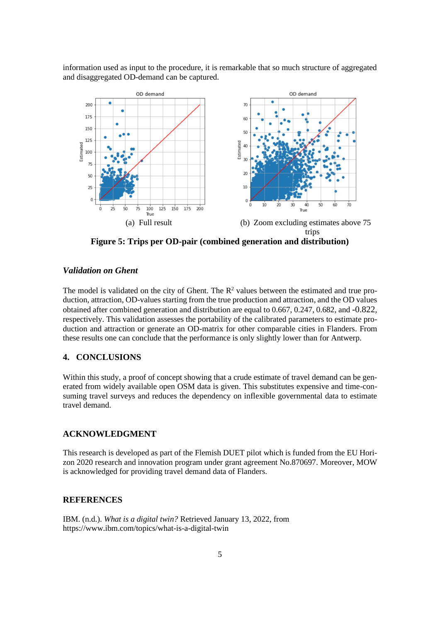information used as input to the procedure, it is remarkable that so much structure of aggregated and disaggregated OD-demand can be captured.



**Figure 5: Trips per OD-pair (combined generation and distribution)**

# *Validation on Ghent*

The model is validated on the city of Ghent. The  $\mathbb{R}^2$  values between the estimated and true production, attraction, OD-values starting from the true production and attraction, and the OD values obtained after combined generation and distribution are equal to 0.667, 0.247, 0.682, and -0.822, respectively. This validation assesses the portability of the calibrated parameters to estimate production and attraction or generate an OD-matrix for other comparable cities in Flanders. From these results one can conclude that the performance is only slightly lower than for Antwerp.

## **4. CONCLUSIONS**

Within this study, a proof of concept showing that a crude estimate of travel demand can be generated from widely available open OSM data is given. This substitutes expensive and time-consuming travel surveys and reduces the dependency on inflexible governmental data to estimate travel demand.

### **ACKNOWLEDGMENT**

This research is developed as part of the Flemish DUET pilot which is funded from the EU Horizon 2020 research and innovation program under grant agreement No.870697. Moreover, MOW is acknowledged for providing travel demand data of Flanders.

### **REFERENCES**

IBM. (n.d.). *What is a digital twin?* Retrieved January 13, 2022, from https://www.ibm.com/topics/what-is-a-digital-twin